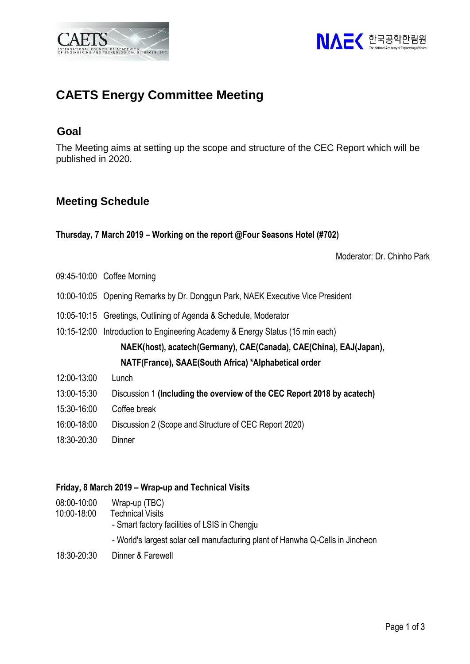



# **CAETS Energy Committee Meeting**

## **Goal**

The Meeting aims at setting up the scope and structure of the CEC Report which will be published in 2020.

## **Meeting Schedule**

**Thursday, 7 March 2019 – Working on the report @Four Seasons Hotel (#702)**

Moderator: Dr. Chinho Park

- 09:45-10:00 Coffee Morning
- 10:00-10:05 Opening Remarks by Dr. Donggun Park, NAEK Executive Vice President
- 10:05-10:15 Greetings, Outlining of Agenda & Schedule, Moderator
- 10:15-12:00 Introduction to Engineering Academy & Energy Status (15 min each)

**NAEK(host), acatech(Germany), CAE(Canada), CAE(China), EAJ(Japan), NATF(France), SAAE(South Africa) \*Alphabetical order**

- 12:00-13:00 Lunch
- 13:00-15:30 Discussion 1 **(Including the overview of the CEC Report 2018 by acatech)**
- 15:30-16:00 Coffee break
- 16:00-18:00 Discussion 2 (Scope and Structure of CEC Report 2020)
- 18:30-20:30 Dinner

#### **Friday, 8 March 2019 – Wrap-up and Technical Visits**

08:00-10:00 Wrap-up (TBC) 10:00-18:00 Technical Visits - Smart factory facilities of LSIS in Chengju - World's largest solar cell manufacturing plant of Hanwha Q-Cells in Jincheon 18:30-20:30 Dinner & Farewell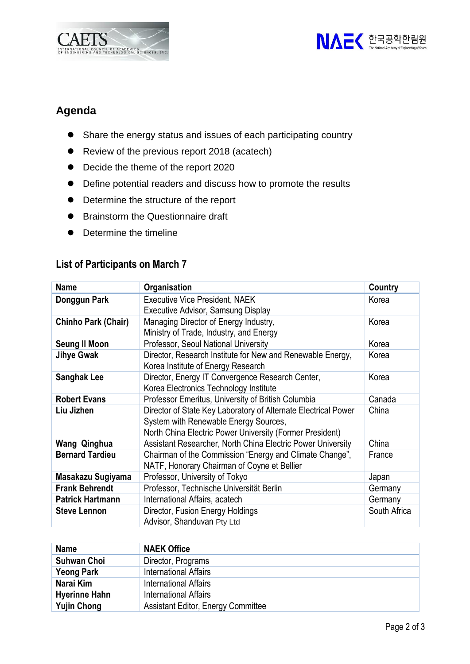



# **Agenda**

- ⚫ Share the energy status and issues of each participating country
- Review of the previous report 2018 (acatech)
- Decide the theme of the report 2020
- ⚫ Define potential readers and discuss how to promote the results
- ⚫ Determine the structure of the report
- Brainstorm the Questionnaire draft
- Determine the timeline

### **List of Participants on March 7**

| <b>Name</b>             | <b>Organisation</b>                                            | Country      |
|-------------------------|----------------------------------------------------------------|--------------|
| Donggun Park            | <b>Executive Vice President, NAEK</b>                          | Korea        |
|                         | <b>Executive Advisor, Samsung Display</b>                      |              |
| Chinho Park (Chair)     | Managing Director of Energy Industry,                          | Korea        |
|                         | Ministry of Trade, Industry, and Energy                        |              |
| <b>Seung II Moon</b>    | <b>Professor, Seoul National University</b>                    | Korea        |
| <b>Jihye Gwak</b>       | Director, Research Institute for New and Renewable Energy,     | Korea        |
|                         | Korea Institute of Energy Research                             |              |
| <b>Sanghak Lee</b>      | Director, Energy IT Convergence Research Center,               | Korea        |
|                         | Korea Electronics Technology Institute                         |              |
| <b>Robert Evans</b>     | Professor Emeritus, University of British Columbia             | Canada       |
| Liu Jizhen              | Director of State Key Laboratory of Alternate Electrical Power | China        |
|                         | System with Renewable Energy Sources,                          |              |
|                         | North China Electric Power University (Former President)       |              |
| Wang Qinghua            | Assistant Researcher, North China Electric Power University    | China        |
| <b>Bernard Tardieu</b>  | Chairman of the Commission "Energy and Climate Change",        | France       |
|                         | NATF, Honorary Chairman of Coyne et Bellier                    |              |
| Masakazu Sugiyama       | Professor, University of Tokyo                                 | Japan        |
| <b>Frank Behrendt</b>   | Professor, Technische Universität Berlin                       | Germany      |
| <b>Patrick Hartmann</b> | International Affairs, acatech                                 | Germany      |
| <b>Steve Lennon</b>     | Director, Fusion Energy Holdings                               | South Africa |
|                         | Advisor, Shanduvan Pty Ltd                                     |              |

| <b>Name</b>          | <b>NAEK Office</b>                        |
|----------------------|-------------------------------------------|
| <b>Suhwan Choi</b>   | Director, Programs                        |
| <b>Yeong Park</b>    | <b>International Affairs</b>              |
| Narai Kim            | <b>International Affairs</b>              |
| <b>Hyerinne Hahn</b> | <b>International Affairs</b>              |
| <b>Yujin Chong</b>   | <b>Assistant Editor, Energy Committee</b> |